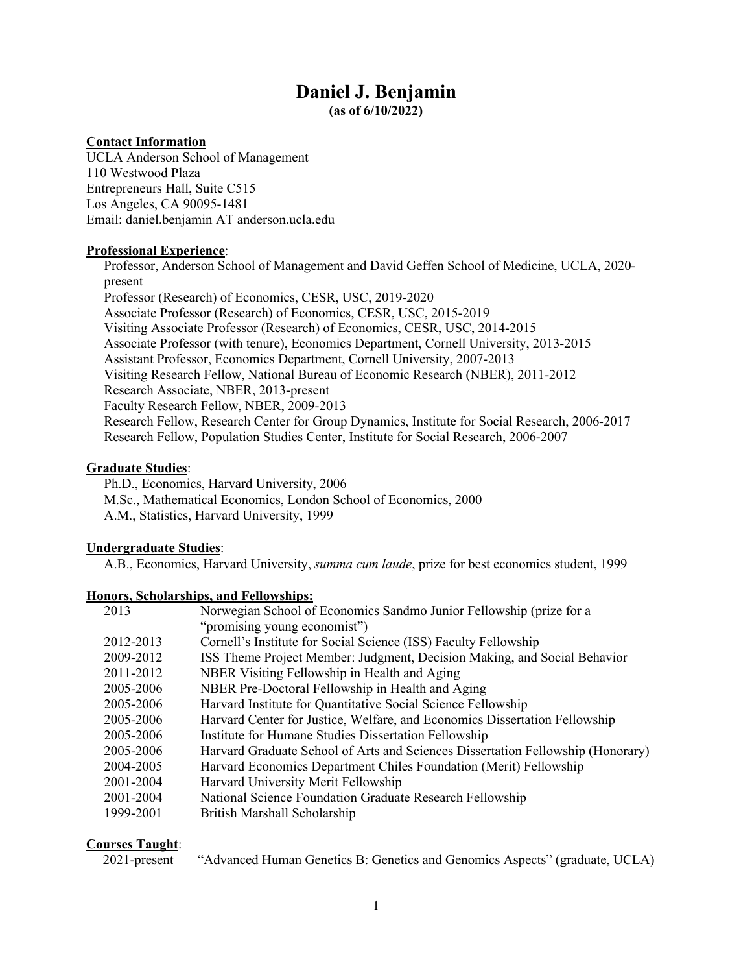# **Daniel J. Benjamin**

**(as of 6/10/2022)**

## **Contact Information**

UCLA Anderson School of Management 110 Westwood Plaza Entrepreneurs Hall, Suite C515 Los Angeles, CA 90095-1481 Email: daniel.benjamin AT anderson.ucla.edu

### **Professional Experience**:

Professor, Anderson School of Management and David Geffen School of Medicine, UCLA, 2020 present Professor (Research) of Economics, CESR, USC, 2019-2020 Associate Professor (Research) of Economics, CESR, USC, 2015-2019 Visiting Associate Professor (Research) of Economics, CESR, USC, 2014-2015 Associate Professor (with tenure), Economics Department, Cornell University, 2013-2015 Assistant Professor, Economics Department, Cornell University, 2007-2013 Visiting Research Fellow, National Bureau of Economic Research (NBER), 2011-2012 Research Associate, NBER, 2013-present Faculty Research Fellow, NBER, 2009-2013 Research Fellow, Research Center for Group Dynamics, Institute for Social Research, 2006-2017 Research Fellow, Population Studies Center, Institute for Social Research, 2006-2007

## **Graduate Studies**:

Ph.D., Economics, Harvard University, 2006 M.Sc., Mathematical Economics, London School of Economics, 2000 A.M., Statistics, Harvard University, 1999

### **Undergraduate Studies**:

A.B., Economics, Harvard University, *summa cum laude*, prize for best economics student, 1999

### **Honors, Scholarships, and Fellowships:**

| Norwegian School of Economics Sandmo Junior Fellowship (prize for a             |
|---------------------------------------------------------------------------------|
| "promising young economist")                                                    |
| Cornell's Institute for Social Science (ISS) Faculty Fellowship                 |
| ISS Theme Project Member: Judgment, Decision Making, and Social Behavior        |
| NBER Visiting Fellowship in Health and Aging                                    |
| NBER Pre-Doctoral Fellowship in Health and Aging                                |
| Harvard Institute for Quantitative Social Science Fellowship                    |
| Harvard Center for Justice, Welfare, and Economics Dissertation Fellowship      |
| Institute for Humane Studies Dissertation Fellowship                            |
| Harvard Graduate School of Arts and Sciences Dissertation Fellowship (Honorary) |
| Harvard Economics Department Chiles Foundation (Merit) Fellowship               |
| Harvard University Merit Fellowship                                             |
| National Science Foundation Graduate Research Fellowship                        |
| British Marshall Scholarship                                                    |
|                                                                                 |

## **Courses Taught**:

2021-present "Advanced Human Genetics B: Genetics and Genomics Aspects" (graduate, UCLA)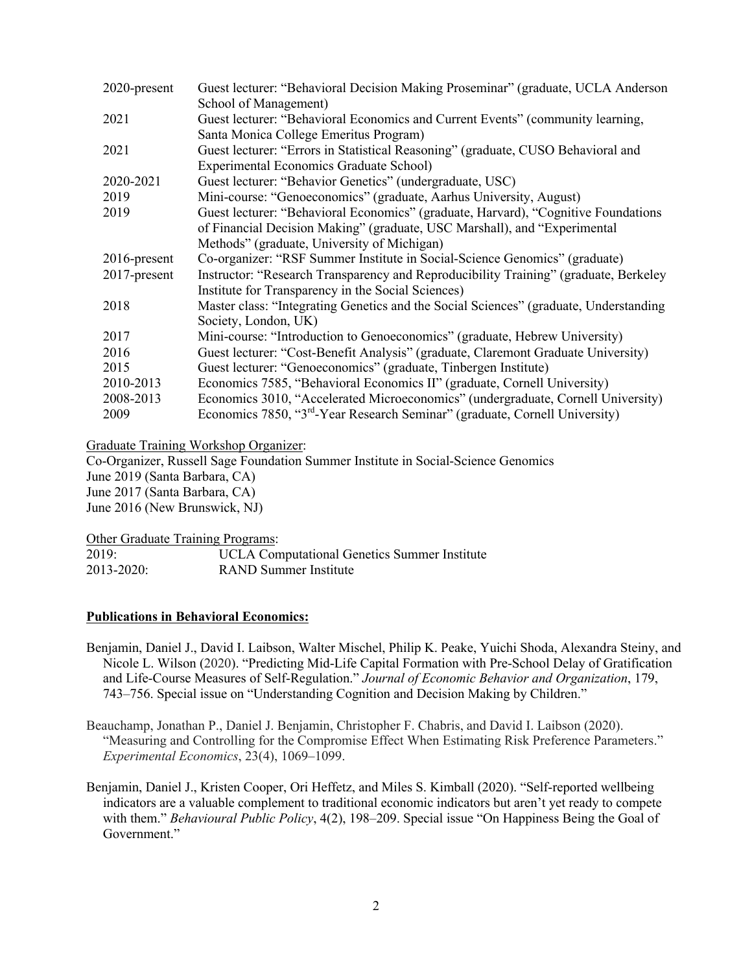| 2020-present    | Guest lecturer: "Behavioral Decision Making Proseminar" (graduate, UCLA Anderson        |
|-----------------|-----------------------------------------------------------------------------------------|
|                 | School of Management)                                                                   |
| 2021            | Guest lecturer: "Behavioral Economics and Current Events" (community learning,          |
|                 | Santa Monica College Emeritus Program)                                                  |
| 2021            | Guest lecturer: "Errors in Statistical Reasoning" (graduate, CUSO Behavioral and        |
|                 | <b>Experimental Economics Graduate School)</b>                                          |
| 2020-2021       | Guest lecturer: "Behavior Genetics" (undergraduate, USC)                                |
| 2019            | Mini-course: "Genoeconomics" (graduate, Aarhus University, August)                      |
| 2019            | Guest lecturer: "Behavioral Economics" (graduate, Harvard), "Cognitive Foundations      |
|                 | of Financial Decision Making" (graduate, USC Marshall), and "Experimental               |
|                 | Methods" (graduate, University of Michigan)                                             |
| $2016$ -present | Co-organizer: "RSF Summer Institute in Social-Science Genomics" (graduate)              |
| 2017-present    | Instructor: "Research Transparency and Reproducibility Training" (graduate, Berkeley    |
|                 | Institute for Transparency in the Social Sciences)                                      |
| 2018            | Master class: "Integrating Genetics and the Social Sciences" (graduate, Understanding   |
|                 | Society, London, UK)                                                                    |
| 2017            | Mini-course: "Introduction to Genoeconomics" (graduate, Hebrew University)              |
| 2016            | Guest lecturer: "Cost-Benefit Analysis" (graduate, Claremont Graduate University)       |
| 2015            | Guest lecturer: "Genoeconomics" (graduate, Tinbergen Institute)                         |
| 2010-2013       | Economics 7585, "Behavioral Economics II" (graduate, Cornell University)                |
| 2008-2013       | Economics 3010, "Accelerated Microeconomics" (undergraduate, Cornell University)        |
| 2009            | Economics 7850, "3 <sup>rd</sup> -Year Research Seminar" (graduate, Cornell University) |
|                 |                                                                                         |

Graduate Training Workshop Organizer:

Co-Organizer, Russell Sage Foundation Summer Institute in Social-Science Genomics June 2019 (Santa Barbara, CA) June 2017 (Santa Barbara, CA) June 2016 (New Brunswick, NJ)

Other Graduate Training Programs:

| 2019:      | UCLA Computational Genetics Summer Institute |
|------------|----------------------------------------------|
| 2013-2020: | RAND Summer Institute                        |

### **Publications in Behavioral Economics:**

- Benjamin, Daniel J., David I. Laibson, Walter Mischel, Philip K. Peake, Yuichi Shoda, Alexandra Steiny, and Nicole L. Wilson (2020). "Predicting Mid-Life Capital Formation with Pre-School Delay of Gratification and Life-Course Measures of Self-Regulation." *Journal of Economic Behavior and Organization*, 179, 743–756. Special issue on "Understanding Cognition and Decision Making by Children."
- Beauchamp, Jonathan P., Daniel J. Benjamin, Christopher F. Chabris, and David I. Laibson (2020). "Measuring and Controlling for the Compromise Effect When Estimating Risk Preference Parameters." *Experimental Economics*, 23(4), 1069–1099.
- Benjamin, Daniel J., Kristen Cooper, Ori Heffetz, and Miles S. Kimball (2020). "Self-reported wellbeing indicators are a valuable complement to traditional economic indicators but aren't yet ready to compete with them." *Behavioural Public Policy*, 4(2), 198–209. Special issue "On Happiness Being the Goal of Government."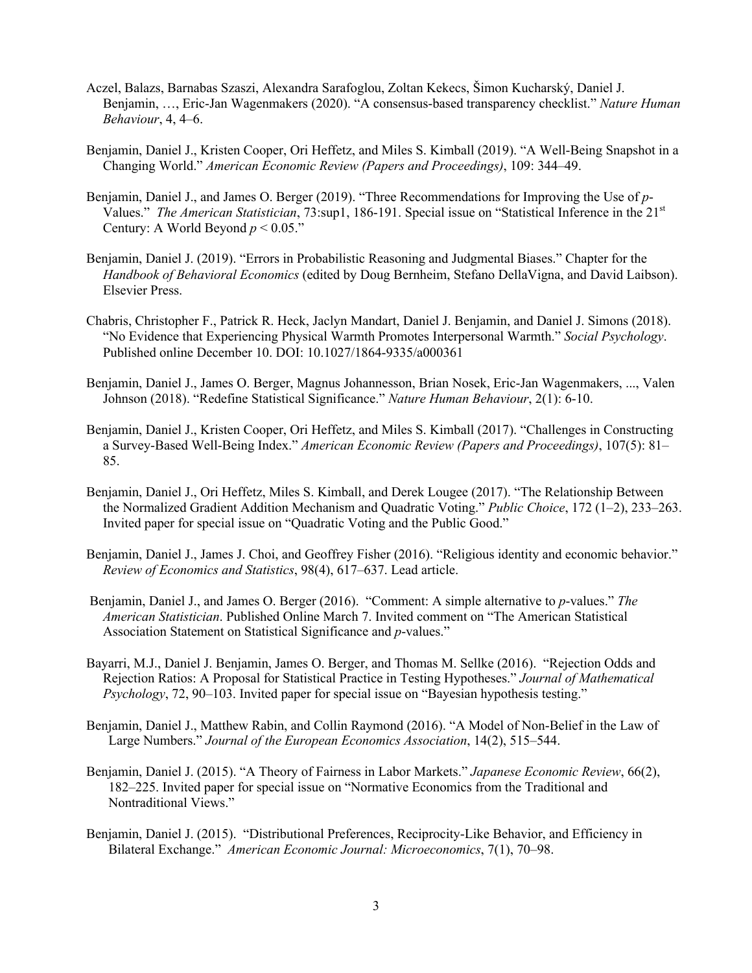- Aczel, Balazs, Barnabas Szaszi, Alexandra Sarafoglou, Zoltan Kekecs, Šimon Kucharský, Daniel J. Benjamin, …, Eric-Jan Wagenmakers (2020). "A consensus-based transparency checklist." *Nature Human Behaviour*, 4, 4–6.
- Benjamin, Daniel J., Kristen Cooper, Ori Heffetz, and Miles S. Kimball (2019). "A Well-Being Snapshot in a Changing World." *American Economic Review (Papers and Proceedings)*, 109: 344–49.
- Benjamin, Daniel J., and James O. Berger (2019). "Three Recommendations for Improving the Use of *p*-Values." *The American Statistician*, 73:sup1, 186-191. Special issue on "Statistical Inference in the 21st Century: A World Beyond  $p < 0.05$ ."
- Benjamin, Daniel J. (2019). "Errors in Probabilistic Reasoning and Judgmental Biases." Chapter for the *Handbook of Behavioral Economics* (edited by Doug Bernheim, Stefano DellaVigna, and David Laibson). Elsevier Press.
- Chabris, Christopher F., Patrick R. Heck, Jaclyn Mandart, Daniel J. Benjamin, and Daniel J. Simons (2018). "No Evidence that Experiencing Physical Warmth Promotes Interpersonal Warmth." *Social Psychology*. Published online December 10. DOI: 10.1027/1864-9335/a000361
- Benjamin, Daniel J., James O. Berger, Magnus Johannesson, Brian Nosek, Eric-Jan Wagenmakers, ..., Valen Johnson (2018). "Redefine Statistical Significance." *Nature Human Behaviour*, 2(1): 6-10.
- Benjamin, Daniel J., Kristen Cooper, Ori Heffetz, and Miles S. Kimball (2017). "Challenges in Constructing a Survey-Based Well-Being Index." *American Economic Review (Papers and Proceedings)*, 107(5): 81– 85.
- Benjamin, Daniel J., Ori Heffetz, Miles S. Kimball, and Derek Lougee (2017). "The Relationship Between the Normalized Gradient Addition Mechanism and Quadratic Voting." *Public Choice*, 172 (1–2), 233–263. Invited paper for special issue on "Quadratic Voting and the Public Good."
- Benjamin, Daniel J., James J. Choi, and Geoffrey Fisher (2016). "Religious identity and economic behavior." *Review of Economics and Statistics*, 98(4), 617–637. Lead article.
- Benjamin, Daniel J., and James O. Berger (2016). "Comment: A simple alternative to *p*-values." *The American Statistician*. Published Online March 7. Invited comment on "The American Statistical Association Statement on Statistical Significance and *p*-values."
- Bayarri, M.J., Daniel J. Benjamin, James O. Berger, and Thomas M. Sellke (2016). "Rejection Odds and Rejection Ratios: A Proposal for Statistical Practice in Testing Hypotheses." *Journal of Mathematical Psychology*, 72, 90–103. Invited paper for special issue on "Bayesian hypothesis testing."
- Benjamin, Daniel J., Matthew Rabin, and Collin Raymond (2016). "A Model of Non-Belief in the Law of Large Numbers." *Journal of the European Economics Association*, 14(2), 515–544.
- Benjamin, Daniel J. (2015). "A Theory of Fairness in Labor Markets." *Japanese Economic Review*, 66(2), 182–225. Invited paper for special issue on "Normative Economics from the Traditional and Nontraditional Views."
- Benjamin, Daniel J. (2015). "Distributional Preferences, Reciprocity-Like Behavior, and Efficiency in Bilateral Exchange." *American Economic Journal: Microeconomics*, 7(1), 70–98.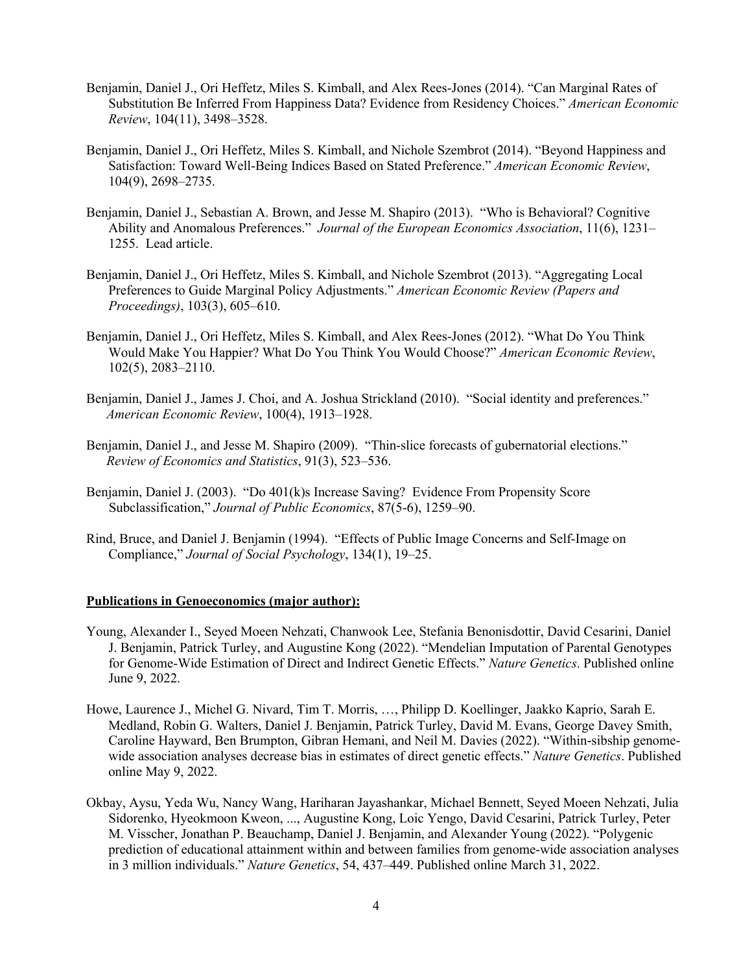- Benjamin, Daniel J., Ori Heffetz, Miles S. Kimball, and Alex Rees-Jones (2014). "Can Marginal Rates of Substitution Be Inferred From Happiness Data? Evidence from Residency Choices." *American Economic Review*, 104(11), 3498–3528.
- Benjamin, Daniel J., Ori Heffetz, Miles S. Kimball, and Nichole Szembrot (2014). "Beyond Happiness and Satisfaction: Toward Well-Being Indices Based on Stated Preference." *American Economic Review*, 104(9), 2698–2735.
- Benjamin, Daniel J., Sebastian A. Brown, and Jesse M. Shapiro (2013). "Who is Behavioral? Cognitive Ability and Anomalous Preferences." *Journal of the European Economics Association*, 11(6), 1231– 1255. Lead article.
- Benjamin, Daniel J., Ori Heffetz, Miles S. Kimball, and Nichole Szembrot (2013). "Aggregating Local Preferences to Guide Marginal Policy Adjustments." *American Economic Review (Papers and Proceedings)*, 103(3), 605–610.
- Benjamin, Daniel J., Ori Heffetz, Miles S. Kimball, and Alex Rees-Jones (2012). "What Do You Think Would Make You Happier? What Do You Think You Would Choose?" *American Economic Review*, 102(5), 2083–2110.
- Benjamin, Daniel J., James J. Choi, and A. Joshua Strickland (2010). "Social identity and preferences."  *American Economic Review*, 100(4), 1913–1928.
- Benjamin, Daniel J., and Jesse M. Shapiro (2009). "Thin-slice forecasts of gubernatorial elections." *Review of Economics and Statistics*, 91(3), 523–536.
- Benjamin, Daniel J. (2003). "Do 401(k)s Increase Saving? Evidence From Propensity Score Subclassification," *Journal of Public Economics*, 87(5-6), 1259–90.
- Rind, Bruce, and Daniel J. Benjamin (1994). "Effects of Public Image Concerns and Self-Image on Compliance," *Journal of Social Psychology*, 134(1), 19–25.

### **Publications in Genoeconomics (major author):**

- Young, Alexander I., Seyed Moeen Nehzati, Chanwook Lee, Stefania Benonisdottir, David Cesarini, Daniel J. Benjamin, Patrick Turley, and Augustine Kong (2022). "Mendelian Imputation of Parental Genotypes for Genome-Wide Estimation of Direct and Indirect Genetic Effects." *Nature Genetics*. Published online June 9, 2022.
- Howe, Laurence J., Michel G. Nivard, Tim T. Morris, …, Philipp D. Koellinger, Jaakko Kaprio, Sarah E. Medland, Robin G. Walters, Daniel J. Benjamin, Patrick Turley, David M. Evans, George Davey Smith, Caroline Hayward, Ben Brumpton, Gibran Hemani, and Neil M. Davies (2022). "Within-sibship genomewide association analyses decrease bias in estimates of direct genetic effects." *Nature Genetics*. Published online May 9, 2022.
- Okbay, Aysu, Yeda Wu, Nancy Wang, Hariharan Jayashankar, Michael Bennett, Seyed Moeen Nehzati, Julia Sidorenko, Hyeokmoon Kweon, ..., Augustine Kong, Loic Yengo, David Cesarini, Patrick Turley, Peter M. Visscher, Jonathan P. Beauchamp, Daniel J. Benjamin, and Alexander Young (2022). "Polygenic prediction of educational attainment within and between families from genome-wide association analyses in 3 million individuals." *Nature Genetics*, 54, 437–449. Published online March 31, 2022.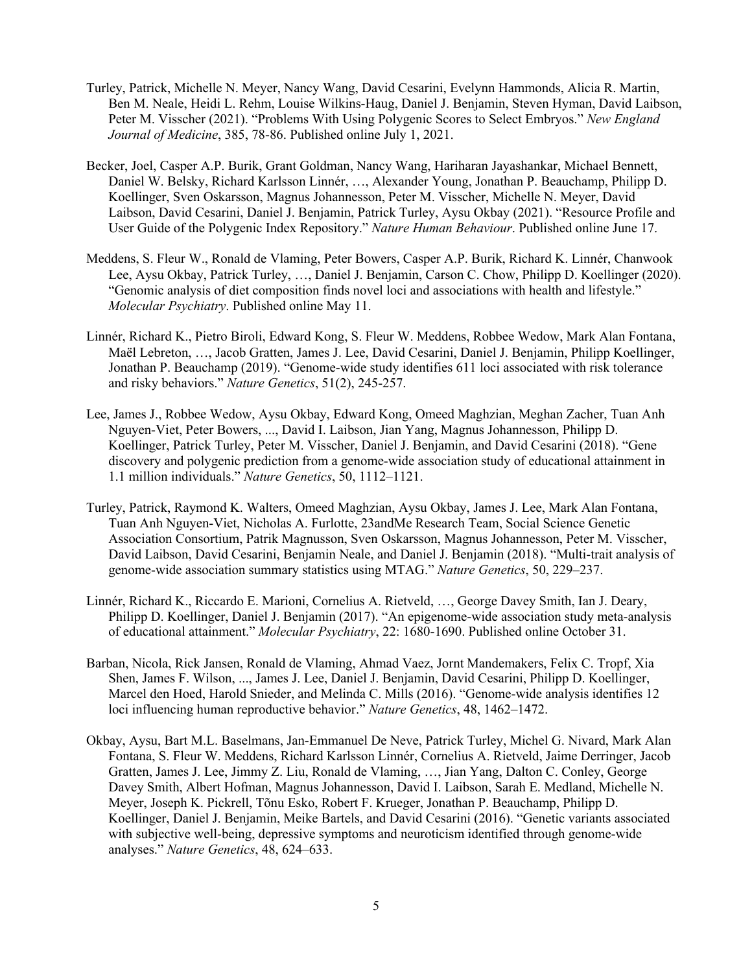- Turley, Patrick, Michelle N. Meyer, Nancy Wang, David Cesarini, Evelynn Hammonds, Alicia R. Martin, Ben M. Neale, Heidi L. Rehm, Louise Wilkins-Haug, Daniel J. Benjamin, Steven Hyman, David Laibson, Peter M. Visscher (2021). "Problems With Using Polygenic Scores to Select Embryos." *New England Journal of Medicine*, 385, 78-86. Published online July 1, 2021.
- Becker, Joel, Casper A.P. Burik, Grant Goldman, Nancy Wang, Hariharan Jayashankar, Michael Bennett, Daniel W. Belsky, Richard Karlsson Linnér, …, Alexander Young, Jonathan P. Beauchamp, Philipp D. Koellinger, Sven Oskarsson, Magnus Johannesson, Peter M. Visscher, Michelle N. Meyer, David Laibson, David Cesarini, Daniel J. Benjamin, Patrick Turley, Aysu Okbay (2021). "Resource Profile and User Guide of the Polygenic Index Repository." *Nature Human Behaviour*. Published online June 17.
- Meddens, S. Fleur W., Ronald de Vlaming, Peter Bowers, Casper A.P. Burik, Richard K. Linnér, Chanwook Lee, Aysu Okbay, Patrick Turley, …, Daniel J. Benjamin, Carson C. Chow, Philipp D. Koellinger (2020). "Genomic analysis of diet composition finds novel loci and associations with health and lifestyle." *Molecular Psychiatry*. Published online May 11.
- Linnér, Richard K., Pietro Biroli, Edward Kong, S. Fleur W. Meddens, Robbee Wedow, Mark Alan Fontana, Maël Lebreton, …, Jacob Gratten, James J. Lee, David Cesarini, Daniel J. Benjamin, Philipp Koellinger, Jonathan P. Beauchamp (2019). "Genome-wide study identifies 611 loci associated with risk tolerance and risky behaviors." *Nature Genetics*, 51(2), 245-257.
- Lee, James J., Robbee Wedow, Aysu Okbay, Edward Kong, Omeed Maghzian, Meghan Zacher, Tuan Anh Nguyen-Viet, Peter Bowers, ..., David I. Laibson, Jian Yang, Magnus Johannesson, Philipp D. Koellinger, Patrick Turley, Peter M. Visscher, Daniel J. Benjamin, and David Cesarini (2018). "Gene discovery and polygenic prediction from a genome-wide association study of educational attainment in 1.1 million individuals." *Nature Genetics*, 50, 1112–1121.
- Turley, Patrick, Raymond K. Walters, Omeed Maghzian, Aysu Okbay, James J. Lee, Mark Alan Fontana, Tuan Anh Nguyen-Viet, Nicholas A. Furlotte, 23andMe Research Team, Social Science Genetic Association Consortium, Patrik Magnusson, Sven Oskarsson, Magnus Johannesson, Peter M. Visscher, David Laibson, David Cesarini, Benjamin Neale, and Daniel J. Benjamin (2018). "Multi-trait analysis of genome-wide association summary statistics using MTAG." *Nature Genetics*, 50, 229–237.
- Linnér, Richard K., Riccardo E. Marioni, Cornelius A. Rietveld, …, George Davey Smith, Ian J. Deary, Philipp D. Koellinger, Daniel J. Benjamin (2017). "An epigenome-wide association study meta-analysis of educational attainment." *Molecular Psychiatry*, 22: 1680-1690. Published online October 31.
- Barban, Nicola, Rick Jansen, Ronald de Vlaming, Ahmad Vaez, Jornt Mandemakers, Felix C. Tropf, Xia Shen, James F. Wilson, ..., James J. Lee, Daniel J. Benjamin, David Cesarini, Philipp D. Koellinger, Marcel den Hoed, Harold Snieder, and Melinda C. Mills (2016). "Genome-wide analysis identifies 12 loci influencing human reproductive behavior." *Nature Genetics*, 48, 1462–1472.
- Okbay, Aysu, Bart M.L. Baselmans, Jan-Emmanuel De Neve, Patrick Turley, Michel G. Nivard, Mark Alan Fontana, S. Fleur W. Meddens, Richard Karlsson Linnér, Cornelius A. Rietveld, Jaime Derringer, Jacob Gratten, James J. Lee, Jimmy Z. Liu, Ronald de Vlaming, …, Jian Yang, Dalton C. Conley, George Davey Smith, Albert Hofman, Magnus Johannesson, David I. Laibson, Sarah E. Medland, Michelle N. Meyer, Joseph K. Pickrell, Tõnu Esko, Robert F. Krueger, Jonathan P. Beauchamp, Philipp D. Koellinger, Daniel J. Benjamin, Meike Bartels, and David Cesarini (2016). "Genetic variants associated with subjective well-being, depressive symptoms and neuroticism identified through genome-wide analyses." *Nature Genetics*, 48, 624–633.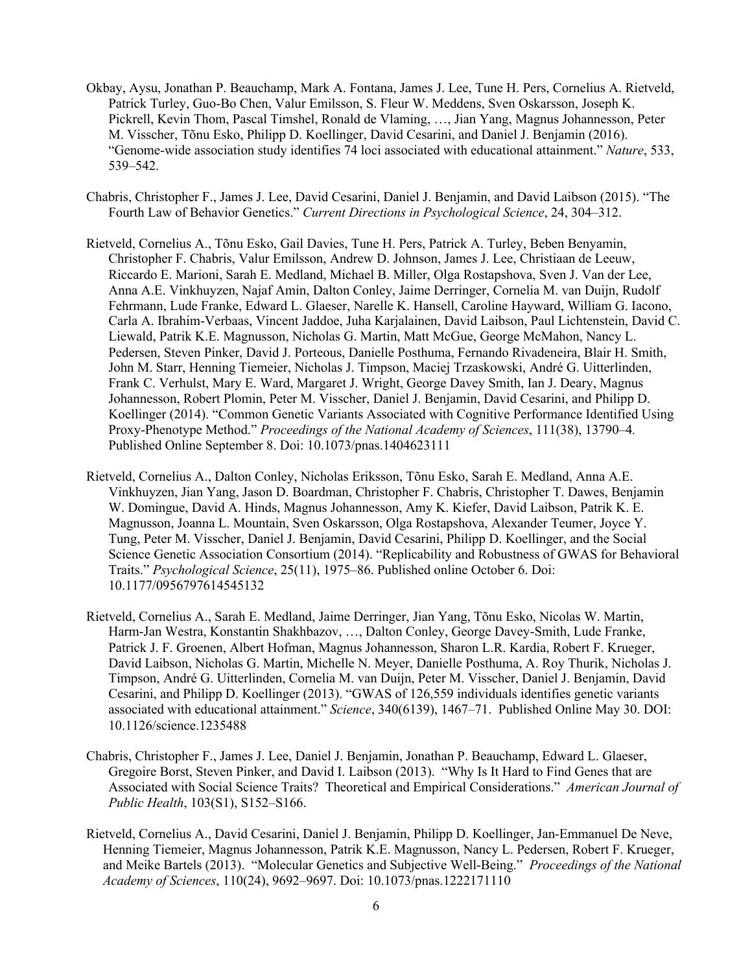- Okbay, Aysu, Jonathan P. Beauchamp, Mark A. Fontana, James J. Lee, Tune H. Pers, Cornelius A. Rietveld, Patrick Turley, Guo-Bo Chen, Valur Emilsson, S. Fleur W. Meddens, Sven Oskarsson, Joseph K. Pickrell, Kevin Thom, Pascal Timshel, Ronald de Vlaming, …, Jian Yang, Magnus Johannesson, Peter M. Visscher, Tõnu Esko, Philipp D. Koellinger, David Cesarini, and Daniel J. Benjamin (2016). "Genome-wide association study identifies 74 loci associated with educational attainment." *Nature*, 533, 539–542.
- Chabris, Christopher F., James J. Lee, David Cesarini, Daniel J. Benjamin, and David Laibson (2015). "The Fourth Law of Behavior Genetics." *Current Directions in Psychological Science*, 24, 304–312.
- Rietveld, Cornelius A., Tõnu Esko, Gail Davies, Tune H. Pers, Patrick A. Turley, Beben Benyamin, Christopher F. Chabris, Valur Emilsson, Andrew D. Johnson, James J. Lee, Christiaan de Leeuw, Riccardo E. Marioni, Sarah E. Medland, Michael B. Miller, Olga Rostapshova, Sven J. Van der Lee, Anna A.E. Vinkhuyzen, Najaf Amin, Dalton Conley, Jaime Derringer, Cornelia M. van Duijn, Rudolf Fehrmann, Lude Franke, Edward L. Glaeser, Narelle K. Hansell, Caroline Hayward, William G. Iacono, Carla A. Ibrahim-Verbaas, Vincent Jaddoe, Juha Karjalainen, David Laibson, Paul Lichtenstein, David C. Liewald, Patrik K.E. Magnusson, Nicholas G. Martin, Matt McGue, George McMahon, Nancy L. Pedersen, Steven Pinker, David J. Porteous, Danielle Posthuma, Fernando Rivadeneira, Blair H. Smith, John M. Starr, Henning Tiemeier, Nicholas J. Timpson, Maciej Trzaskowski, André G. Uitterlinden, Frank C. Verhulst, Mary E. Ward, Margaret J. Wright, George Davey Smith, Ian J. Deary, Magnus Johannesson, Robert Plomin, Peter M. Visscher, Daniel J. Benjamin, David Cesarini, and Philipp D. Koellinger (2014). "Common Genetic Variants Associated with Cognitive Performance Identified Using Proxy-Phenotype Method." *Proceedings of the National Academy of Sciences*, 111(38), 13790–4*.* Published Online September 8. Doi: 10.1073/pnas.1404623111
- Rietveld, Cornelius A., Dalton Conley, Nicholas Eriksson, Tõnu Esko, Sarah E. Medland, Anna A.E. Vinkhuyzen, Jian Yang, Jason D. Boardman, Christopher F. Chabris, Christopher T. Dawes, Benjamin W. Domingue, David A. Hinds, Magnus Johannesson, Amy K. Kiefer, David Laibson, Patrik K. E. Magnusson, Joanna L. Mountain, Sven Oskarsson, Olga Rostapshova, Alexander Teumer, Joyce Y. Tung, Peter M. Visscher, Daniel J. Benjamin, David Cesarini, Philipp D. Koellinger, and the Social Science Genetic Association Consortium (2014). "Replicability and Robustness of GWAS for Behavioral Traits." *Psychological Science*, 25(11), 1975–86. Published online October 6. Doi: 10.1177/0956797614545132
- Rietveld, Cornelius A., Sarah E. Medland, Jaime Derringer, Jian Yang, Tõnu Esko, Nicolas W. Martin, Harm-Jan Westra, Konstantin Shakhbazov, …, Dalton Conley, George Davey-Smith, Lude Franke, Patrick J. F. Groenen, Albert Hofman, Magnus Johannesson, Sharon L.R. Kardia, Robert F. Krueger, David Laibson, Nicholas G. Martin, Michelle N. Meyer, Danielle Posthuma, A. Roy Thurik, Nicholas J. Timpson, André G. Uitterlinden, Cornelia M. van Duijn, Peter M. Visscher, Daniel J. Benjamin, David Cesarini, and Philipp D. Koellinger (2013). "GWAS of 126,559 individuals identifies genetic variants associated with educational attainment." *Science*, 340(6139), 1467–71. Published Online May 30. DOI: 10.1126/science.1235488
- Chabris, Christopher F., James J. Lee, Daniel J. Benjamin, Jonathan P. Beauchamp, Edward L. Glaeser, Gregoire Borst, Steven Pinker, and David I. Laibson (2013). "Why Is It Hard to Find Genes that are Associated with Social Science Traits? Theoretical and Empirical Considerations." *American Journal of Public Health*, 103(S1), S152–S166.
- Rietveld, Cornelius A., David Cesarini, Daniel J. Benjamin, Philipp D. Koellinger, Jan-Emmanuel De Neve, Henning Tiemeier, Magnus Johannesson, Patrik K.E. Magnusson, Nancy L. Pedersen, Robert F. Krueger, and Meike Bartels (2013). "Molecular Genetics and Subjective Well-Being." *Proceedings of the National Academy of Sciences*, 110(24), 9692–9697. Doi: 10.1073/pnas.1222171110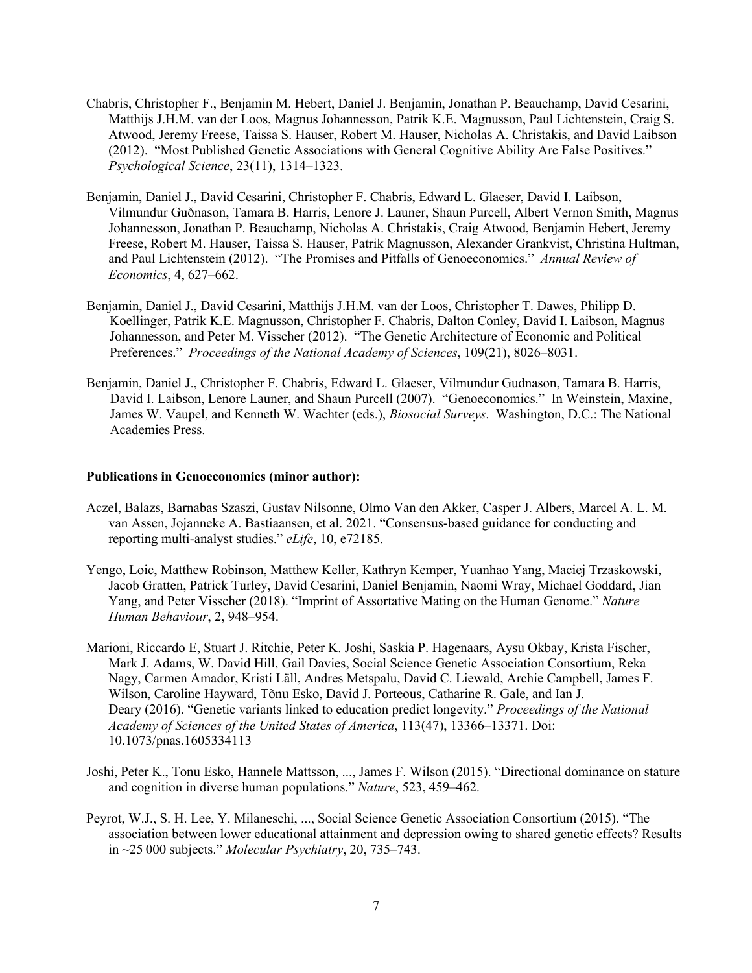- Chabris, Christopher F., Benjamin M. Hebert, Daniel J. Benjamin, Jonathan P. Beauchamp, David Cesarini, Matthijs J.H.M. van der Loos, Magnus Johannesson, Patrik K.E. Magnusson, Paul Lichtenstein, Craig S. Atwood, Jeremy Freese, Taissa S. Hauser, Robert M. Hauser, Nicholas A. Christakis, and David Laibson (2012). "Most Published Genetic Associations with General Cognitive Ability Are False Positives." *Psychological Science*, 23(11), 1314–1323.
- Benjamin, Daniel J., David Cesarini, Christopher F. Chabris, Edward L. Glaeser, David I. Laibson, Vilmundur Guðnason, Tamara B. Harris, Lenore J. Launer, Shaun Purcell, Albert Vernon Smith, Magnus Johannesson, Jonathan P. Beauchamp, Nicholas A. Christakis, Craig Atwood, Benjamin Hebert, Jeremy Freese, Robert M. Hauser, Taissa S. Hauser, Patrik Magnusson, Alexander Grankvist, Christina Hultman, and Paul Lichtenstein (2012). "The Promises and Pitfalls of Genoeconomics." *Annual Review of Economics*, 4, 627–662.
- Benjamin, Daniel J., David Cesarini, Matthijs J.H.M. van der Loos, Christopher T. Dawes, Philipp D. Koellinger, Patrik K.E. Magnusson, Christopher F. Chabris, Dalton Conley, David I. Laibson, Magnus Johannesson, and Peter M. Visscher (2012). "The Genetic Architecture of Economic and Political Preferences." *Proceedings of the National Academy of Sciences*, 109(21), 8026–8031.
- Benjamin, Daniel J., Christopher F. Chabris, Edward L. Glaeser, Vilmundur Gudnason, Tamara B. Harris, David I. Laibson, Lenore Launer, and Shaun Purcell (2007). "Genoeconomics." In Weinstein, Maxine, James W. Vaupel, and Kenneth W. Wachter (eds.), *Biosocial Surveys*. Washington, D.C.: The National Academies Press.

## **Publications in Genoeconomics (minor author):**

- Aczel, Balazs, Barnabas Szaszi, Gustav Nilsonne, Olmo Van den Akker, Casper J. Albers, Marcel A. L. M. van Assen, Jojanneke A. Bastiaansen, et al. 2021. "Consensus-based guidance for conducting and reporting multi-analyst studies." *eLife*, 10, e72185.
- Yengo, Loic, Matthew Robinson, Matthew Keller, Kathryn Kemper, Yuanhao Yang, Maciej Trzaskowski, Jacob Gratten, Patrick Turley, David Cesarini, Daniel Benjamin, Naomi Wray, Michael Goddard, Jian Yang, and Peter Visscher (2018). "Imprint of Assortative Mating on the Human Genome." *Nature Human Behaviour*, 2, 948–954.
- Marioni, Riccardo E, Stuart J. Ritchie, Peter K. Joshi, Saskia P. Hagenaars, Aysu Okbay, Krista Fischer, Mark J. Adams, W. David Hill, Gail Davies, Social Science Genetic Association Consortium, Reka Nagy, Carmen Amador, Kristi Läll, Andres Metspalu, David C. Liewald, Archie Campbell, James F. Wilson, Caroline Hayward, Tõnu Esko, David J. Porteous, Catharine R. Gale, and Ian J. Deary (2016). "Genetic variants linked to education predict longevity." *Proceedings of the National Academy of Sciences of the United States of America*, 113(47), 13366–13371. Doi: 10.1073/pnas.1605334113
- Joshi, Peter K., Tonu Esko, Hannele Mattsson, ..., James F. Wilson (2015). "Directional dominance on stature and cognition in diverse human populations." *Nature*, 523, 459–462.
- Peyrot, W.J., S. H. Lee, Y. Milaneschi, ..., Social Science Genetic Association Consortium (2015). "The association between lower educational attainment and depression owing to shared genetic effects? Results in ~25 000 subjects." *Molecular Psychiatry*, 20, 735–743.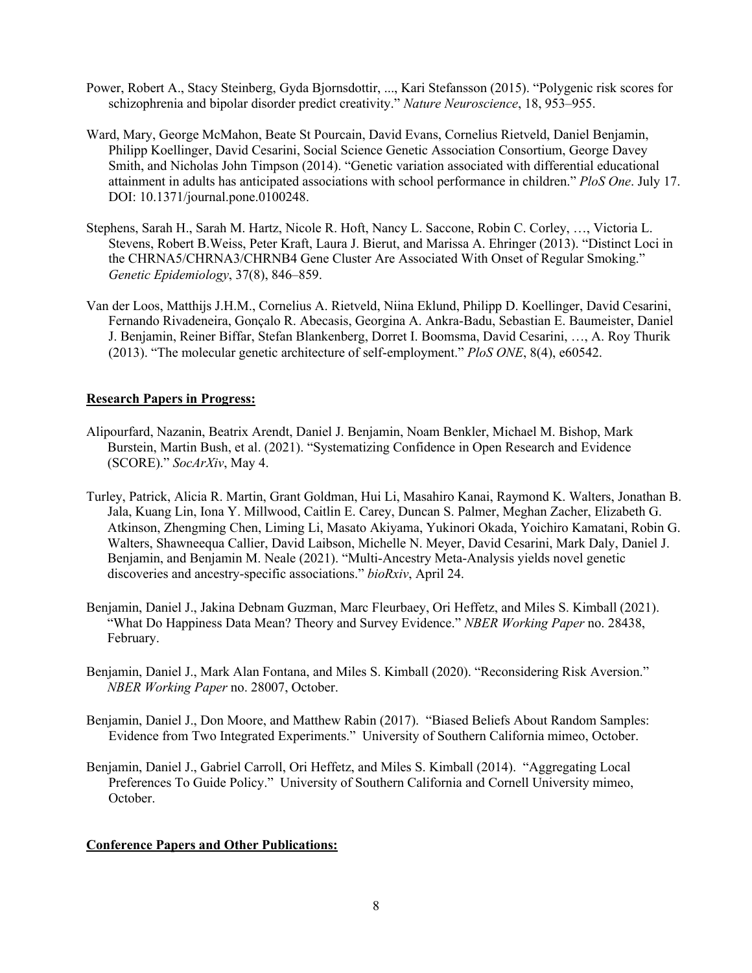- Power, Robert A., Stacy Steinberg, Gyda Bjornsdottir, ..., Kari Stefansson (2015). "Polygenic risk scores for schizophrenia and bipolar disorder predict creativity." *Nature Neuroscience*, 18, 953–955.
- Ward, Mary, George McMahon, Beate St Pourcain, David Evans, Cornelius Rietveld, Daniel Benjamin, Philipp Koellinger, David Cesarini, Social Science Genetic Association Consortium, George Davey Smith, and Nicholas John Timpson (2014). "Genetic variation associated with differential educational attainment in adults has anticipated associations with school performance in children." *PloS One*. July 17. DOI: 10.1371/journal.pone.0100248.
- Stephens, Sarah H., Sarah M. Hartz, Nicole R. Hoft, Nancy L. Saccone, Robin C. Corley, …, Victoria L. Stevens, Robert B.Weiss, Peter Kraft, Laura J. Bierut, and Marissa A. Ehringer (2013). "Distinct Loci in the CHRNA5/CHRNA3/CHRNB4 Gene Cluster Are Associated With Onset of Regular Smoking." *Genetic Epidemiology*, 37(8), 846–859.
- Van der Loos, Matthijs J.H.M., Cornelius A. Rietveld, Niina Eklund, Philipp D. Koellinger, David Cesarini, Fernando Rivadeneira, Gonçalo R. Abecasis, Georgina A. Ankra-Badu, Sebastian E. Baumeister, Daniel J. Benjamin, Reiner Biffar, Stefan Blankenberg, Dorret I. Boomsma, David Cesarini, …, A. Roy Thurik (2013). "The molecular genetic architecture of self-employment." *PloS ONE*, 8(4), e60542.

## **Research Papers in Progress:**

- Alipourfard, Nazanin, Beatrix Arendt, Daniel J. Benjamin, Noam Benkler, Michael M. Bishop, Mark Burstein, Martin Bush, et al. (2021). "Systematizing Confidence in Open Research and Evidence (SCORE)." *SocArXiv*, May 4.
- Turley, Patrick, Alicia R. Martin, Grant Goldman, Hui Li, Masahiro Kanai, Raymond K. Walters, Jonathan B. Jala, Kuang Lin, Iona Y. Millwood, Caitlin E. Carey, Duncan S. Palmer, Meghan Zacher, Elizabeth G. Atkinson, Zhengming Chen, Liming Li, Masato Akiyama, Yukinori Okada, Yoichiro Kamatani, Robin G. Walters, Shawneequa Callier, David Laibson, Michelle N. Meyer, David Cesarini, Mark Daly, Daniel J. Benjamin, and Benjamin M. Neale (2021). "Multi-Ancestry Meta-Analysis yields novel genetic discoveries and ancestry-specific associations." *bioRxiv*, April 24.
- Benjamin, Daniel J., Jakina Debnam Guzman, Marc Fleurbaey, Ori Heffetz, and Miles S. Kimball (2021). "What Do Happiness Data Mean? Theory and Survey Evidence." *NBER Working Paper* no. 28438, February.
- Benjamin, Daniel J., Mark Alan Fontana, and Miles S. Kimball (2020). "Reconsidering Risk Aversion." *NBER Working Paper* no. 28007, October.
- Benjamin, Daniel J., Don Moore, and Matthew Rabin (2017). "Biased Beliefs About Random Samples: Evidence from Two Integrated Experiments." University of Southern California mimeo, October.
- Benjamin, Daniel J., Gabriel Carroll, Ori Heffetz, and Miles S. Kimball (2014). "Aggregating Local Preferences To Guide Policy." University of Southern California and Cornell University mimeo, October.

## **Conference Papers and Other Publications:**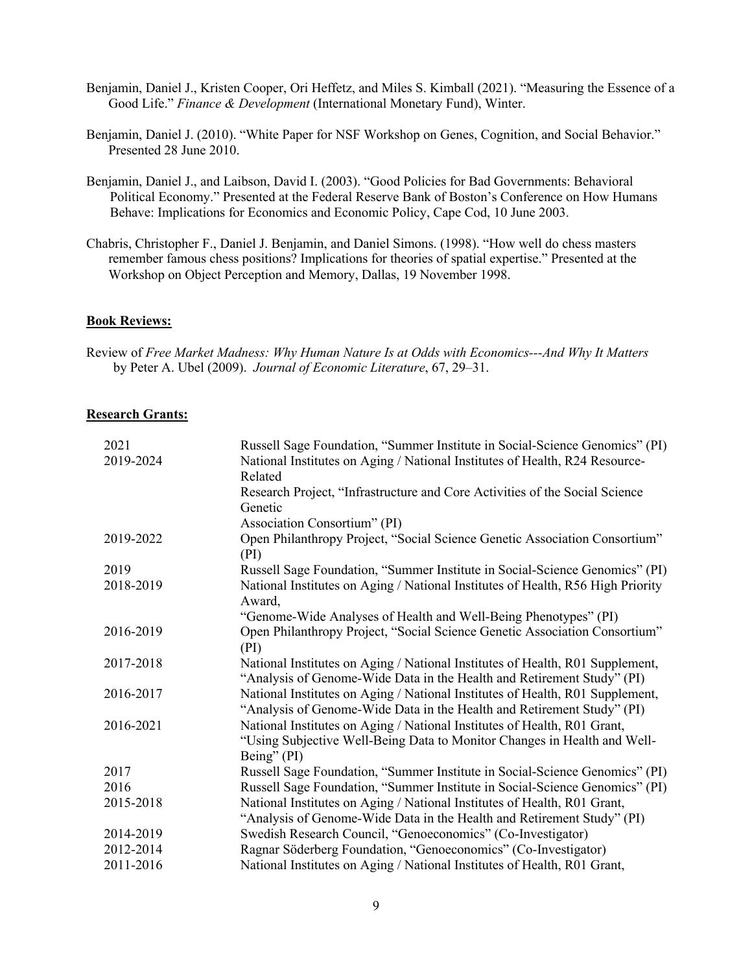- Benjamin, Daniel J., Kristen Cooper, Ori Heffetz, and Miles S. Kimball (2021). "Measuring the Essence of a Good Life." *Finance & Development* (International Monetary Fund), Winter.
- Benjamin, Daniel J. (2010). "White Paper for NSF Workshop on Genes, Cognition, and Social Behavior." Presented 28 June 2010.
- Benjamin, Daniel J., and Laibson, David I. (2003). "Good Policies for Bad Governments: Behavioral Political Economy." Presented at the Federal Reserve Bank of Boston's Conference on How Humans Behave: Implications for Economics and Economic Policy, Cape Cod, 10 June 2003.
- Chabris, Christopher F., Daniel J. Benjamin, and Daniel Simons. (1998). "How well do chess masters remember famous chess positions? Implications for theories of spatial expertise." Presented at the Workshop on Object Perception and Memory, Dallas, 19 November 1998.

#### **Book Reviews:**

### **Research Grants:**

| 2021      | Russell Sage Foundation, "Summer Institute in Social-Science Genomics" (PI)     |
|-----------|---------------------------------------------------------------------------------|
| 2019-2024 | National Institutes on Aging / National Institutes of Health, R24 Resource-     |
|           | Related                                                                         |
|           | Research Project, "Infrastructure and Core Activities of the Social Science     |
|           | Genetic                                                                         |
|           | Association Consortium" (PI)                                                    |
| 2019-2022 | Open Philanthropy Project, "Social Science Genetic Association Consortium"      |
|           | (PI)                                                                            |
| 2019      | Russell Sage Foundation, "Summer Institute in Social-Science Genomics" (PI)     |
| 2018-2019 | National Institutes on Aging / National Institutes of Health, R56 High Priority |
|           | Award,                                                                          |
|           | "Genome-Wide Analyses of Health and Well-Being Phenotypes" (PI)                 |
| 2016-2019 | Open Philanthropy Project, "Social Science Genetic Association Consortium"      |
|           | (PI)                                                                            |
| 2017-2018 | National Institutes on Aging / National Institutes of Health, R01 Supplement,   |
|           | "Analysis of Genome-Wide Data in the Health and Retirement Study" (PI)          |
| 2016-2017 | National Institutes on Aging / National Institutes of Health, R01 Supplement,   |
|           | "Analysis of Genome-Wide Data in the Health and Retirement Study" (PI)          |
| 2016-2021 | National Institutes on Aging / National Institutes of Health, R01 Grant,        |
|           | "Using Subjective Well-Being Data to Monitor Changes in Health and Well-        |
|           | Being" (PI)                                                                     |
| 2017      | Russell Sage Foundation, "Summer Institute in Social-Science Genomics" (PI)     |
| 2016      | Russell Sage Foundation, "Summer Institute in Social-Science Genomics" (PI)     |
| 2015-2018 | National Institutes on Aging / National Institutes of Health, R01 Grant,        |
|           | "Analysis of Genome-Wide Data in the Health and Retirement Study" (PI)          |
| 2014-2019 | Swedish Research Council, "Genoeconomics" (Co-Investigator)                     |
| 2012-2014 | Ragnar Söderberg Foundation, "Genoeconomics" (Co-Investigator)                  |
| 2011-2016 | National Institutes on Aging / National Institutes of Health, R01 Grant,        |
|           |                                                                                 |

Review of *Free Market Madness: Why Human Nature Is at Odds with Economics---And Why It Matters* by Peter A. Ubel (2009). *Journal of Economic Literature*, 67, 29–31.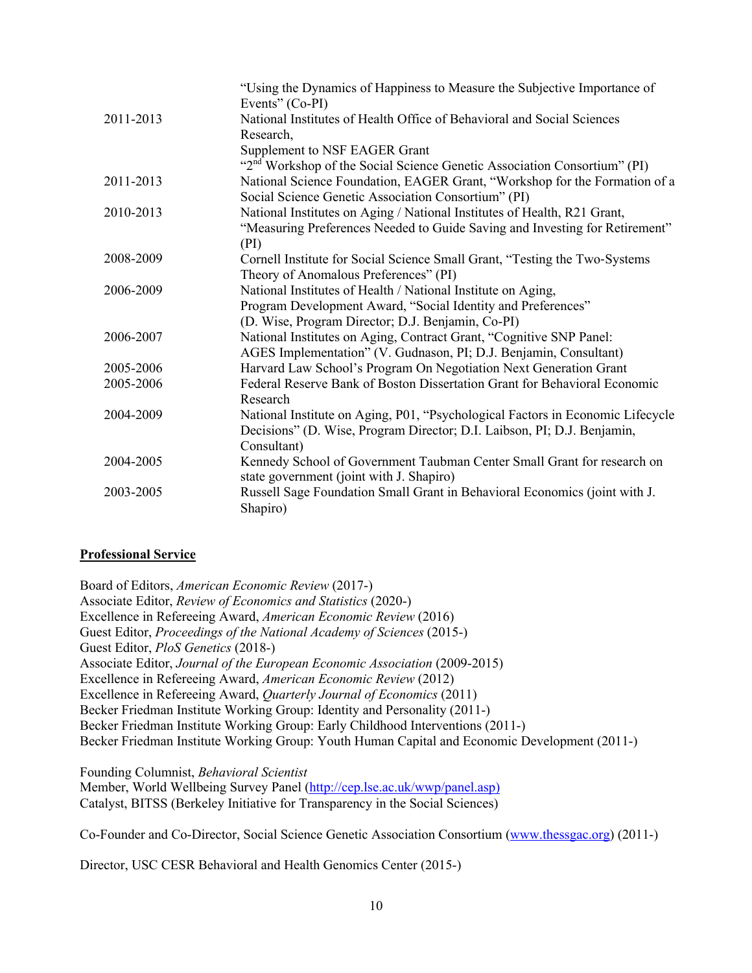|           | "Using the Dynamics of Happiness to Measure the Subjective Importance of             |
|-----------|--------------------------------------------------------------------------------------|
|           | Events" (Co-PI)                                                                      |
| 2011-2013 | National Institutes of Health Office of Behavioral and Social Sciences               |
|           | Research,                                                                            |
|           | Supplement to NSF EAGER Grant                                                        |
|           | "2 <sup>nd</sup> Workshop of the Social Science Genetic Association Consortium" (PI) |
| 2011-2013 | National Science Foundation, EAGER Grant, "Workshop for the Formation of a           |
|           | Social Science Genetic Association Consortium" (PI)                                  |
| 2010-2013 | National Institutes on Aging / National Institutes of Health, R21 Grant,             |
|           | "Measuring Preferences Needed to Guide Saving and Investing for Retirement"          |
|           | (PI)                                                                                 |
| 2008-2009 | Cornell Institute for Social Science Small Grant, "Testing the Two-Systems           |
|           | Theory of Anomalous Preferences" (PI)                                                |
| 2006-2009 | National Institutes of Health / National Institute on Aging,                         |
|           | Program Development Award, "Social Identity and Preferences"                         |
|           | (D. Wise, Program Director; D.J. Benjamin, Co-PI)                                    |
| 2006-2007 | National Institutes on Aging, Contract Grant, "Cognitive SNP Panel:                  |
|           | AGES Implementation" (V. Gudnason, PI; D.J. Benjamin, Consultant)                    |
| 2005-2006 | Harvard Law School's Program On Negotiation Next Generation Grant                    |
| 2005-2006 | Federal Reserve Bank of Boston Dissertation Grant for Behavioral Economic            |
|           | Research                                                                             |
| 2004-2009 | National Institute on Aging, P01, "Psychological Factors in Economic Lifecycle       |
|           | Decisions" (D. Wise, Program Director; D.I. Laibson, PI; D.J. Benjamin,              |
|           | Consultant)                                                                          |
| 2004-2005 | Kennedy School of Government Taubman Center Small Grant for research on              |
|           | state government (joint with J. Shapiro)                                             |
| 2003-2005 | Russell Sage Foundation Small Grant in Behavioral Economics (joint with J.           |
|           | Shapiro)                                                                             |
|           |                                                                                      |

## **Professional Service**

Board of Editors, *American Economic Review* (2017-) Associate Editor, *Review of Economics and Statistics* (2020-) Excellence in Refereeing Award, *American Economic Review* (2016) Guest Editor, *Proceedings of the National Academy of Sciences* (2015-) Guest Editor, *PloS Genetics* (2018-) Associate Editor, *Journal of the European Economic Association* (2009-2015) Excellence in Refereeing Award, *American Economic Review* (2012) Excellence in Refereeing Award, *Quarterly Journal of Economics* (2011) Becker Friedman Institute Working Group: Identity and Personality (2011-) Becker Friedman Institute Working Group: Early Childhood Interventions (2011-) Becker Friedman Institute Working Group: Youth Human Capital and Economic Development (2011-)

Founding Columnist, *Behavioral Scientist* Member, World Wellbeing Survey Panel (http://cep.lse.ac.uk/wwp/panel.asp) Catalyst, BITSS (Berkeley Initiative for Transparency in the Social Sciences)

Co-Founder and Co-Director, Social Science Genetic Association Consortium (www.thessgac.org) (2011-)

Director, USC CESR Behavioral and Health Genomics Center (2015-)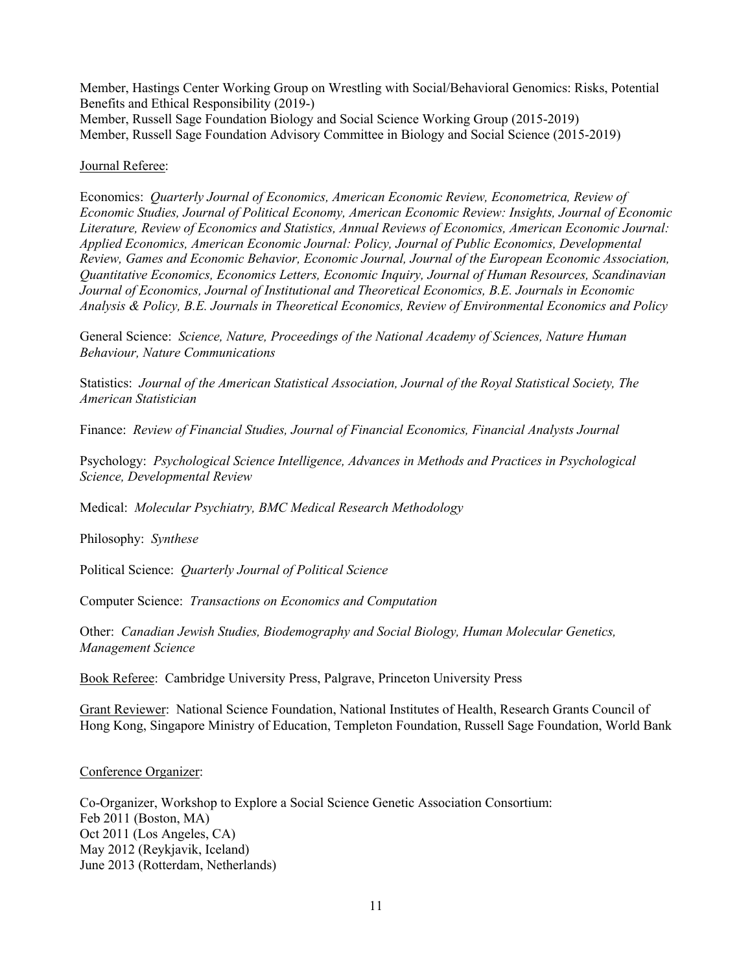Member, Hastings Center Working Group on Wrestling with Social/Behavioral Genomics: Risks, Potential Benefits and Ethical Responsibility (2019-) Member, Russell Sage Foundation Biology and Social Science Working Group (2015-2019) Member, Russell Sage Foundation Advisory Committee in Biology and Social Science (2015-2019)

### Journal Referee:

Economics: *Quarterly Journal of Economics, American Economic Review, Econometrica, Review of Economic Studies, Journal of Political Economy, American Economic Review: Insights, Journal of Economic Literature, Review of Economics and Statistics, Annual Reviews of Economics, American Economic Journal: Applied Economics, American Economic Journal: Policy, Journal of Public Economics, Developmental Review, Games and Economic Behavior, Economic Journal, Journal of the European Economic Association, Quantitative Economics, Economics Letters, Economic Inquiry, Journal of Human Resources, Scandinavian Journal of Economics, Journal of Institutional and Theoretical Economics, B.E. Journals in Economic Analysis & Policy, B.E. Journals in Theoretical Economics, Review of Environmental Economics and Policy*

General Science: *Science, Nature, Proceedings of the National Academy of Sciences, Nature Human Behaviour, Nature Communications*

Statistics: *Journal of the American Statistical Association, Journal of the Royal Statistical Society, The American Statistician*

Finance: *Review of Financial Studies, Journal of Financial Economics, Financial Analysts Journal*

Psychology: *Psychological Science Intelligence, Advances in Methods and Practices in Psychological Science, Developmental Review*

Medical: *Molecular Psychiatry, BMC Medical Research Methodology*

Philosophy: *Synthese*

Political Science: *Quarterly Journal of Political Science*

Computer Science: *Transactions on Economics and Computation*

Other: *Canadian Jewish Studies, Biodemography and Social Biology, Human Molecular Genetics, Management Science*

Book Referee: Cambridge University Press, Palgrave, Princeton University Press

Grant Reviewer: National Science Foundation, National Institutes of Health, Research Grants Council of Hong Kong, Singapore Ministry of Education, Templeton Foundation, Russell Sage Foundation, World Bank

Conference Organizer:

Co-Organizer, Workshop to Explore a Social Science Genetic Association Consortium: Feb 2011 (Boston, MA) Oct 2011 (Los Angeles, CA) May 2012 (Reykjavik, Iceland) June 2013 (Rotterdam, Netherlands)